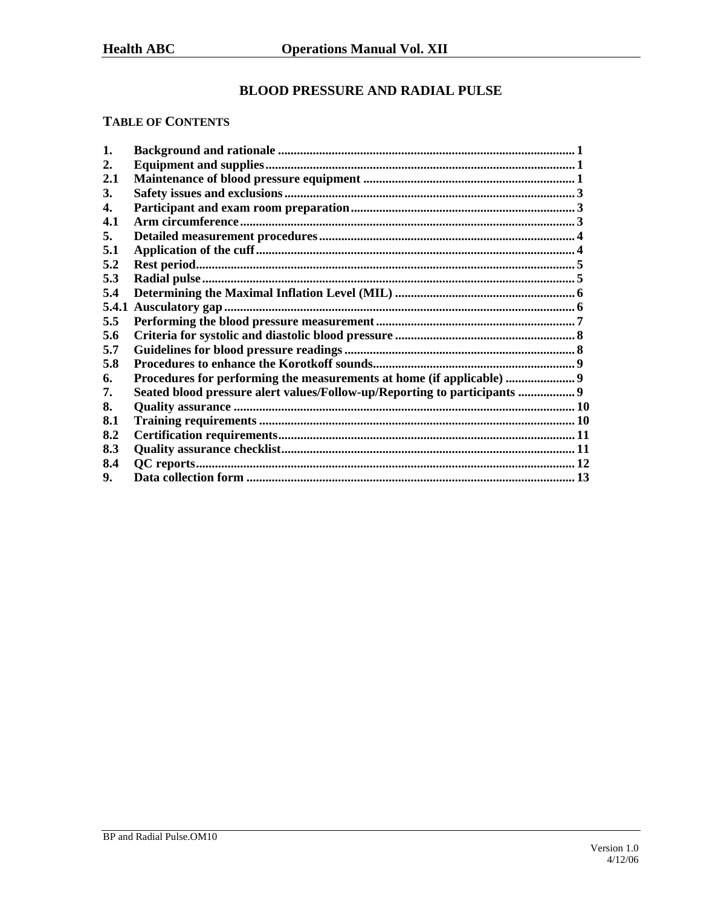# **BLOOD PRESSURE AND RADIAL PULSE**

# **TABLE OF CONTENTS**

| 5.4.1 |                                                                           |
|-------|---------------------------------------------------------------------------|
|       |                                                                           |
|       |                                                                           |
|       |                                                                           |
|       |                                                                           |
|       |                                                                           |
|       |                                                                           |
|       |                                                                           |
|       |                                                                           |
|       |                                                                           |
|       |                                                                           |
|       |                                                                           |
|       |                                                                           |
|       | Seated blood pressure alert values/Follow-up/Reporting to participants  9 |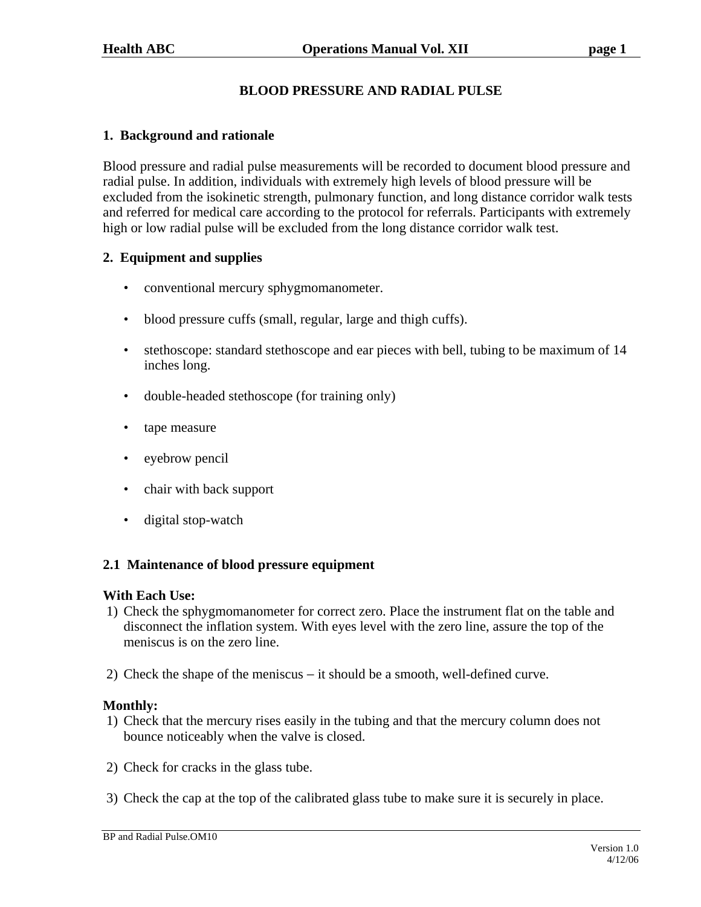# **BLOOD PRESSURE AND RADIAL PULSE**

### **1. Background and rationale**

Blood pressure and radial pulse measurements will be recorded to document blood pressure and radial pulse. In addition, individuals with extremely high levels of blood pressure will be excluded from the isokinetic strength, pulmonary function, and long distance corridor walk tests and referred for medical care according to the protocol for referrals. Participants with extremely high or low radial pulse will be excluded from the long distance corridor walk test.

### **2. Equipment and supplies**

- conventional mercury sphygmomanometer.
- blood pressure cuffs (small, regular, large and thigh cuffs).
- stethoscope: standard stethoscope and ear pieces with bell, tubing to be maximum of 14 inches long.
- double-headed stethoscope (for training only)
- tape measure
- eyebrow pencil
- chair with back support
- digital stop-watch

#### **2.1 Maintenance of blood pressure equipment**

#### **With Each Use:**

- 1) Check the sphygmomanometer for correct zero. Place the instrument flat on the table and disconnect the inflation system. With eyes level with the zero line, assure the top of the meniscus is on the zero line.
- 2) Check the shape of the meniscus − it should be a smooth, well-defined curve.

#### **Monthly:**

- 1) Check that the mercury rises easily in the tubing and that the mercury column does not bounce noticeably when the valve is closed.
- 2) Check for cracks in the glass tube.
- 3) Check the cap at the top of the calibrated glass tube to make sure it is securely in place.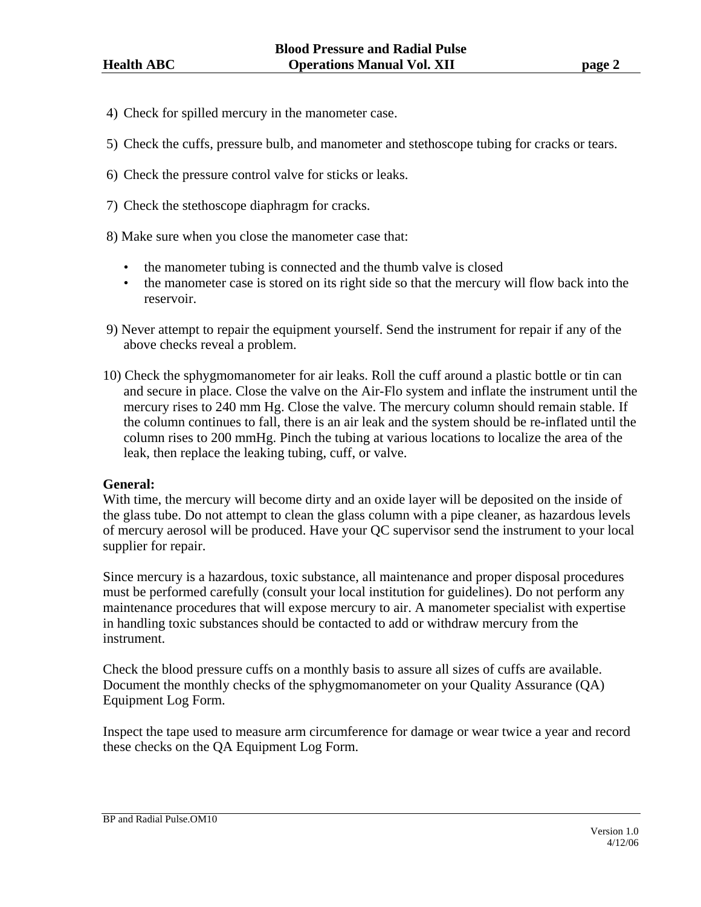- 4) Check for spilled mercury in the manometer case.
- 5) Check the cuffs, pressure bulb, and manometer and stethoscope tubing for cracks or tears.
- 6) Check the pressure control valve for sticks or leaks.
- 7) Check the stethoscope diaphragm for cracks.
- 8) Make sure when you close the manometer case that:
	- the manometer tubing is connected and the thumb valve is closed
	- the manometer case is stored on its right side so that the mercury will flow back into the reservoir.
- 9) Never attempt to repair the equipment yourself. Send the instrument for repair if any of the above checks reveal a problem.
- 10) Check the sphygmomanometer for air leaks. Roll the cuff around a plastic bottle or tin can and secure in place. Close the valve on the Air-Flo system and inflate the instrument until the mercury rises to 240 mm Hg. Close the valve. The mercury column should remain stable. If the column continues to fall, there is an air leak and the system should be re-inflated until the column rises to 200 mmHg. Pinch the tubing at various locations to localize the area of the leak, then replace the leaking tubing, cuff, or valve.

#### **General:**

With time, the mercury will become dirty and an oxide layer will be deposited on the inside of the glass tube. Do not attempt to clean the glass column with a pipe cleaner, as hazardous levels of mercury aerosol will be produced. Have your QC supervisor send the instrument to your local supplier for repair.

Since mercury is a hazardous, toxic substance, all maintenance and proper disposal procedures must be performed carefully (consult your local institution for guidelines). Do not perform any maintenance procedures that will expose mercury to air. A manometer specialist with expertise in handling toxic substances should be contacted to add or withdraw mercury from the instrument.

Check the blood pressure cuffs on a monthly basis to assure all sizes of cuffs are available. Document the monthly checks of the sphygmomanometer on your Quality Assurance (QA) Equipment Log Form.

Inspect the tape used to measure arm circumference for damage or wear twice a year and record these checks on the QA Equipment Log Form.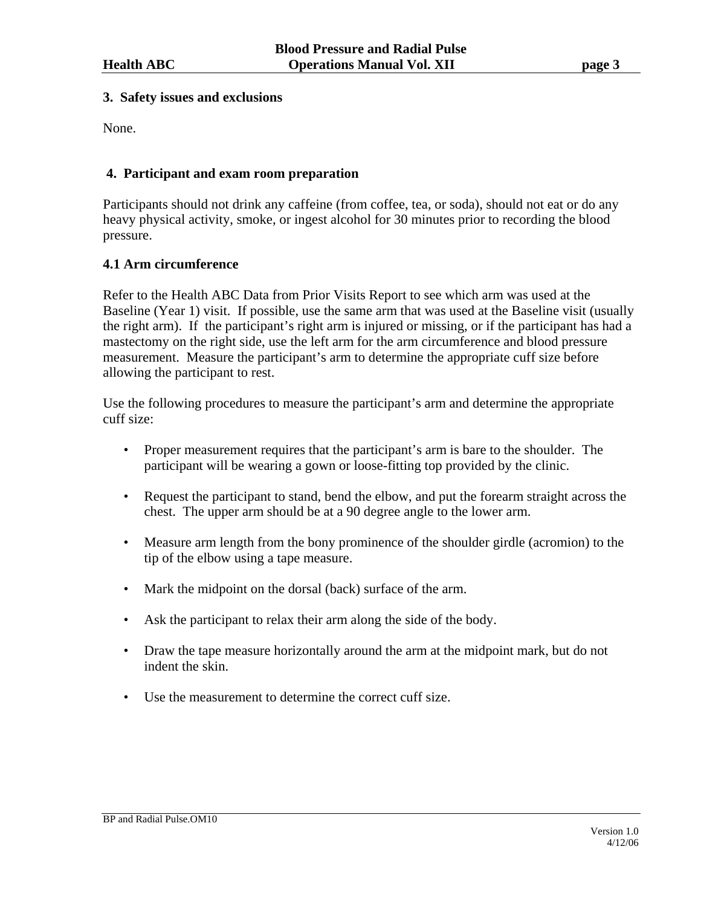#### **3. Safety issues and exclusions**

None.

## **4. Participant and exam room preparation**

Participants should not drink any caffeine (from coffee, tea, or soda), should not eat or do any heavy physical activity, smoke, or ingest alcohol for 30 minutes prior to recording the blood pressure.

### **4.1 Arm circumference**

Refer to the Health ABC Data from Prior Visits Report to see which arm was used at the Baseline (Year 1) visit. If possible, use the same arm that was used at the Baseline visit (usually the right arm). If the participant's right arm is injured or missing, or if the participant has had a mastectomy on the right side, use the left arm for the arm circumference and blood pressure measurement. Measure the participant's arm to determine the appropriate cuff size before allowing the participant to rest.

Use the following procedures to measure the participant's arm and determine the appropriate cuff size:

- Proper measurement requires that the participant's arm is bare to the shoulder. The participant will be wearing a gown or loose-fitting top provided by the clinic.
- Request the participant to stand, bend the elbow, and put the forearm straight across the chest. The upper arm should be at a 90 degree angle to the lower arm.
- Measure arm length from the bony prominence of the shoulder girdle (acromion) to the tip of the elbow using a tape measure.
- Mark the midpoint on the dorsal (back) surface of the arm.
- Ask the participant to relax their arm along the side of the body.
- Draw the tape measure horizontally around the arm at the midpoint mark, but do not indent the skin.
- Use the measurement to determine the correct cuff size.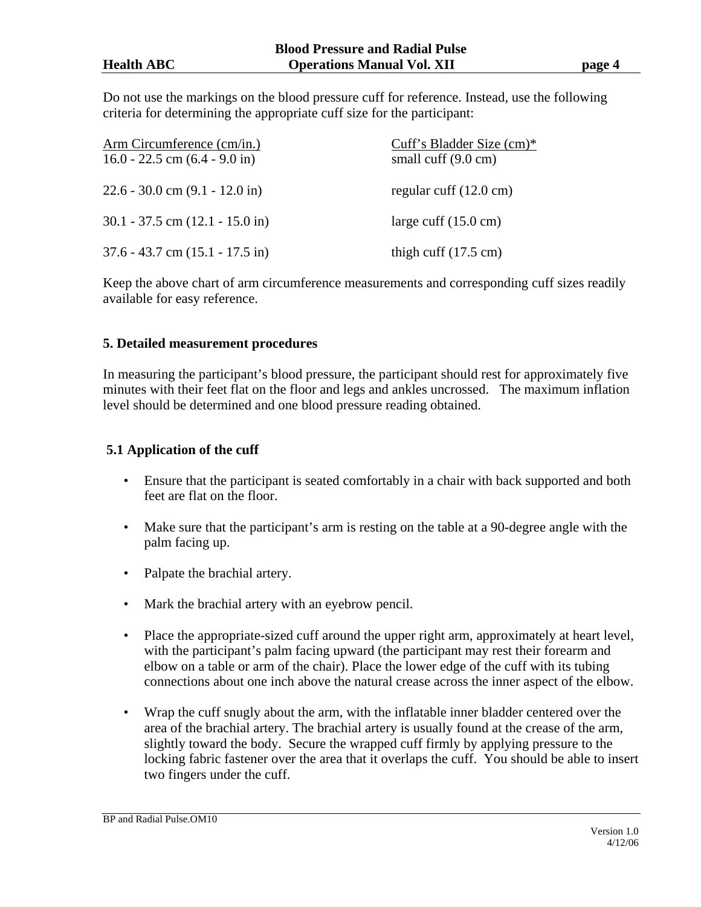Do not use the markings on the blood pressure cuff for reference. Instead, use the following criteria for determining the appropriate cuff size for the participant:

| Arm Circumference (cm/in.)          | Cuff's Bladder Size $(cm)*$      |
|-------------------------------------|----------------------------------|
| 16.0 - 22.5 cm $(6.4 - 9.0)$ in     | small cuff $(9.0 \text{ cm})$    |
| $22.6 - 30.0$ cm $(9.1 - 12.0$ in)  | regular cuff $(12.0 \text{ cm})$ |
| $30.1 - 37.5$ cm $(12.1 - 15.0$ in) | large cuff $(15.0 \text{ cm})$   |
| $37.6 - 43.7$ cm $(15.1 - 17.5$ in) | thigh cuff $(17.5 \text{ cm})$   |

Keep the above chart of arm circumference measurements and corresponding cuff sizes readily available for easy reference.

#### **5. Detailed measurement procedures**

In measuring the participant's blood pressure, the participant should rest for approximately five minutes with their feet flat on the floor and legs and ankles uncrossed. The maximum inflation level should be determined and one blood pressure reading obtained.

### **5.1 Application of the cuff**

- Ensure that the participant is seated comfortably in a chair with back supported and both feet are flat on the floor.
- Make sure that the participant's arm is resting on the table at a 90-degree angle with the palm facing up.
- Palpate the brachial artery.
- Mark the brachial artery with an eyebrow pencil.
- Place the appropriate-sized cuff around the upper right arm, approximately at heart level, with the participant's palm facing upward (the participant may rest their forearm and elbow on a table or arm of the chair). Place the lower edge of the cuff with its tubing connections about one inch above the natural crease across the inner aspect of the elbow.
- Wrap the cuff snugly about the arm, with the inflatable inner bladder centered over the area of the brachial artery. The brachial artery is usually found at the crease of the arm, slightly toward the body. Secure the wrapped cuff firmly by applying pressure to the locking fabric fastener over the area that it overlaps the cuff. You should be able to insert two fingers under the cuff.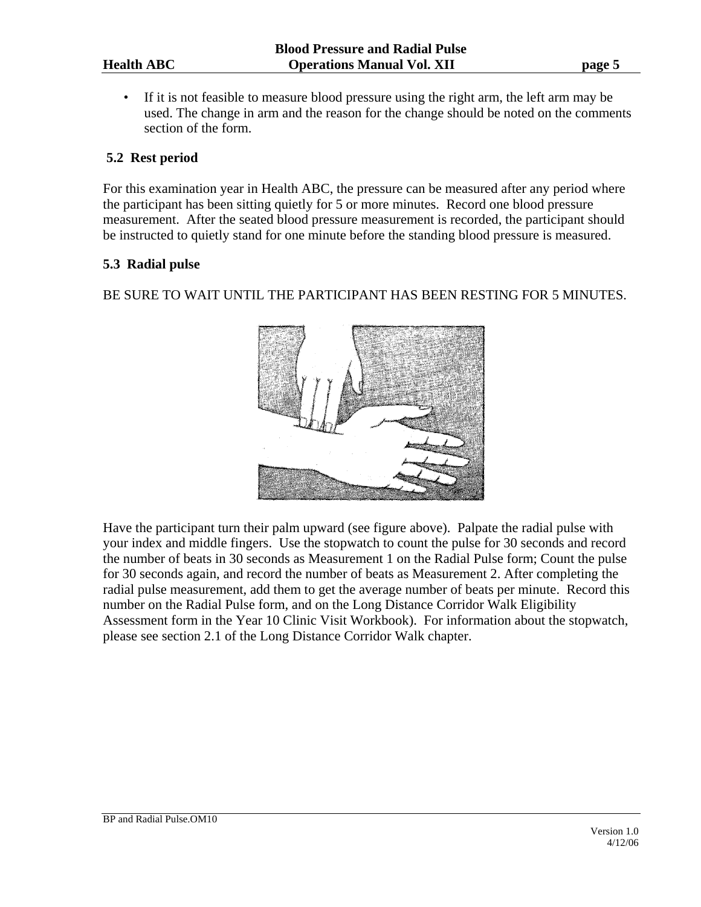• If it is not feasible to measure blood pressure using the right arm, the left arm may be used. The change in arm and the reason for the change should be noted on the comments section of the form.

# **5.2 Rest period**

For this examination year in Health ABC, the pressure can be measured after any period where the participant has been sitting quietly for 5 or more minutes. Record one blood pressure measurement. After the seated blood pressure measurement is recorded, the participant should be instructed to quietly stand for one minute before the standing blood pressure is measured.

# **5.3 Radial pulse**

BE SURE TO WAIT UNTIL THE PARTICIPANT HAS BEEN RESTING FOR 5 MINUTES.



Have the participant turn their palm upward (see figure above). Palpate the radial pulse with your index and middle fingers. Use the stopwatch to count the pulse for 30 seconds and record the number of beats in 30 seconds as Measurement 1 on the Radial Pulse form; Count the pulse for 30 seconds again, and record the number of beats as Measurement 2. After completing the radial pulse measurement, add them to get the average number of beats per minute. Record this number on the Radial Pulse form, and on the Long Distance Corridor Walk Eligibility Assessment form in the Year 10 Clinic Visit Workbook). For information about the stopwatch, please see section 2.1 of the Long Distance Corridor Walk chapter.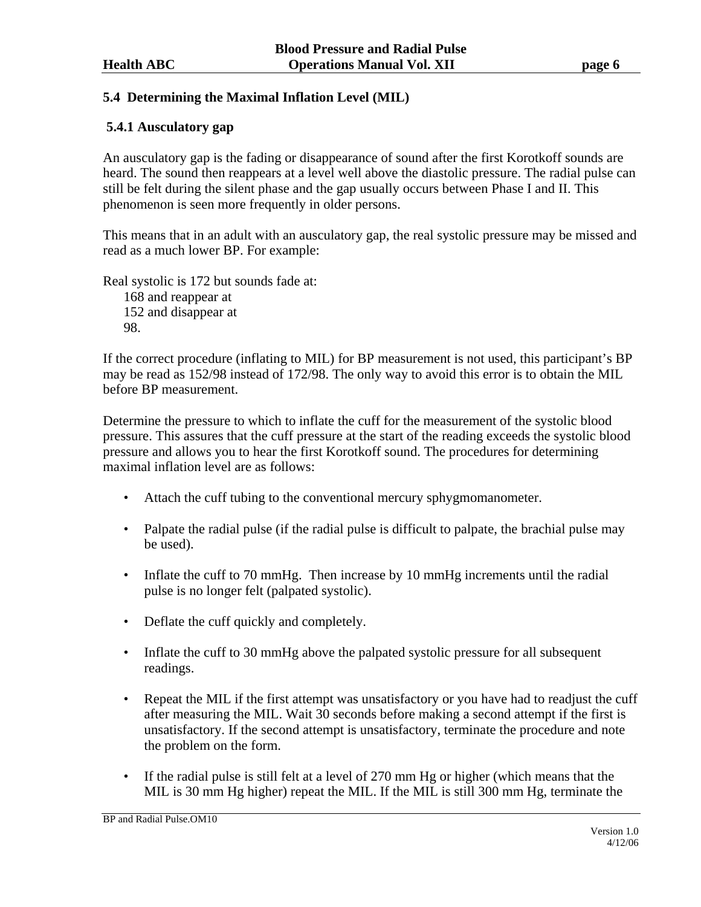# **5.4 Determining the Maximal Inflation Level (MIL)**

# **5.4.1 Ausculatory gap**

An ausculatory gap is the fading or disappearance of sound after the first Korotkoff sounds are heard. The sound then reappears at a level well above the diastolic pressure. The radial pulse can still be felt during the silent phase and the gap usually occurs between Phase I and II. This phenomenon is seen more frequently in older persons.

This means that in an adult with an ausculatory gap, the real systolic pressure may be missed and read as a much lower BP. For example:

Real systolic is 172 but sounds fade at: 168 and reappear at 152 and disappear at 98.

If the correct procedure (inflating to MIL) for BP measurement is not used, this participant's BP may be read as 152/98 instead of 172/98. The only way to avoid this error is to obtain the MIL before BP measurement.

Determine the pressure to which to inflate the cuff for the measurement of the systolic blood pressure. This assures that the cuff pressure at the start of the reading exceeds the systolic blood pressure and allows you to hear the first Korotkoff sound. The procedures for determining maximal inflation level are as follows:

- Attach the cuff tubing to the conventional mercury sphygmomanometer.
- Palpate the radial pulse (if the radial pulse is difficult to palpate, the brachial pulse may be used).
- Inflate the cuff to 70 mmHg. Then increase by 10 mmHg increments until the radial pulse is no longer felt (palpated systolic).
- Deflate the cuff quickly and completely.
- Inflate the cuff to 30 mmHg above the palpated systolic pressure for all subsequent readings.
- Repeat the MIL if the first attempt was unsatisfactory or you have had to readjust the cuff after measuring the MIL. Wait 30 seconds before making a second attempt if the first is unsatisfactory. If the second attempt is unsatisfactory, terminate the procedure and note the problem on the form.
- If the radial pulse is still felt at a level of 270 mm Hg or higher (which means that the MIL is 30 mm Hg higher) repeat the MIL. If the MIL is still 300 mm Hg, terminate the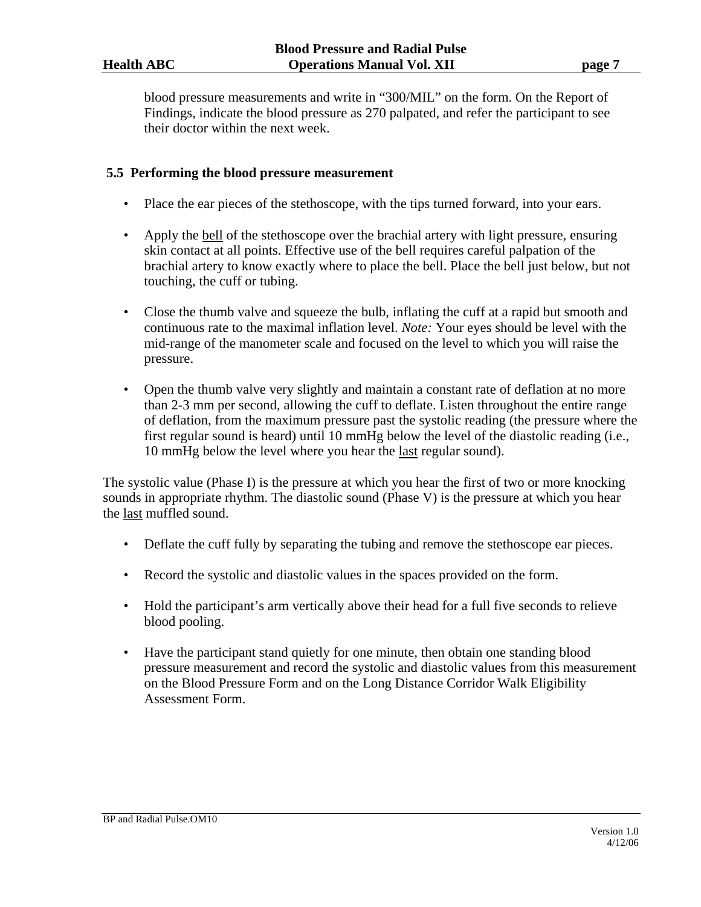blood pressure measurements and write in "300/MIL" on the form. On the Report of Findings, indicate the blood pressure as 270 palpated, and refer the participant to see their doctor within the next week.

### **5.5 Performing the blood pressure measurement**

- Place the ear pieces of the stethoscope, with the tips turned forward, into your ears.
- Apply the bell of the stethoscope over the brachial artery with light pressure, ensuring skin contact at all points. Effective use of the bell requires careful palpation of the brachial artery to know exactly where to place the bell. Place the bell just below, but not touching, the cuff or tubing.
- Close the thumb valve and squeeze the bulb, inflating the cuff at a rapid but smooth and continuous rate to the maximal inflation level. *Note:* Your eyes should be level with the mid-range of the manometer scale and focused on the level to which you will raise the pressure.
- Open the thumb valve very slightly and maintain a constant rate of deflation at no more than 2-3 mm per second, allowing the cuff to deflate. Listen throughout the entire range of deflation, from the maximum pressure past the systolic reading (the pressure where the first regular sound is heard) until 10 mmHg below the level of the diastolic reading (i.e., 10 mmHg below the level where you hear the last regular sound).

The systolic value (Phase I) is the pressure at which you hear the first of two or more knocking sounds in appropriate rhythm. The diastolic sound (Phase V) is the pressure at which you hear the last muffled sound.

- Deflate the cuff fully by separating the tubing and remove the stethoscope ear pieces.
- Record the systolic and diastolic values in the spaces provided on the form.
- Hold the participant's arm vertically above their head for a full five seconds to relieve blood pooling.
- Have the participant stand quietly for one minute, then obtain one standing blood pressure measurement and record the systolic and diastolic values from this measurement on the Blood Pressure Form and on the Long Distance Corridor Walk Eligibility Assessment Form.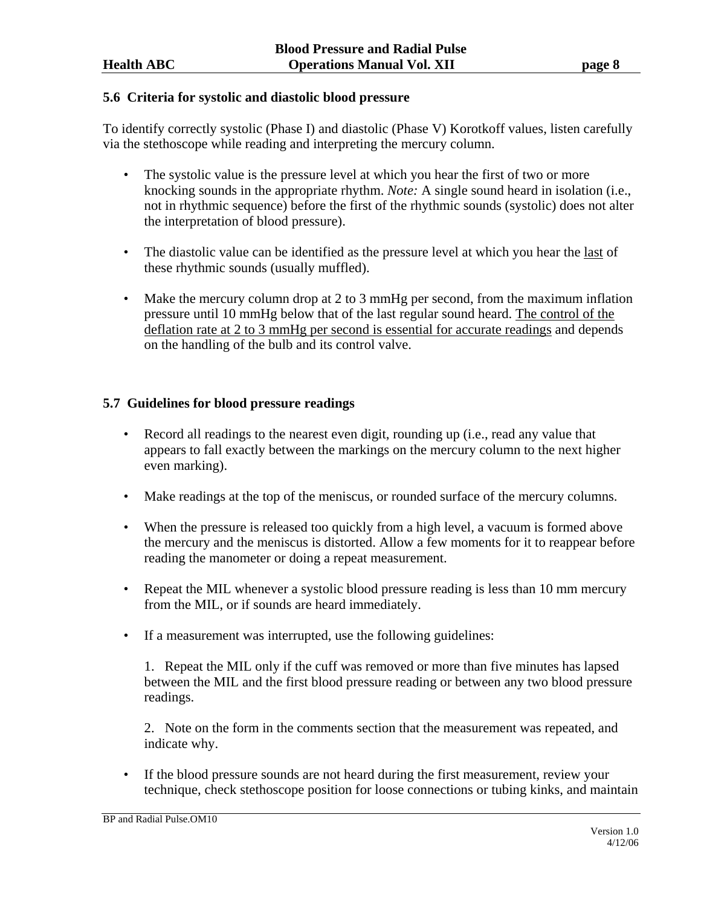#### **5.6 Criteria for systolic and diastolic blood pressure**

To identify correctly systolic (Phase I) and diastolic (Phase V) Korotkoff values, listen carefully via the stethoscope while reading and interpreting the mercury column.

- The systolic value is the pressure level at which you hear the first of two or more knocking sounds in the appropriate rhythm. *Note:* A single sound heard in isolation (i.e., not in rhythmic sequence) before the first of the rhythmic sounds (systolic) does not alter the interpretation of blood pressure).
- The diastolic value can be identified as the pressure level at which you hear the last of these rhythmic sounds (usually muffled).
- Make the mercury column drop at 2 to 3 mmHg per second, from the maximum inflation pressure until 10 mmHg below that of the last regular sound heard. The control of the deflation rate at 2 to 3 mmHg per second is essential for accurate readings and depends on the handling of the bulb and its control valve.

# **5.7 Guidelines for blood pressure readings**

- Record all readings to the nearest even digit, rounding up (i.e., read any value that appears to fall exactly between the markings on the mercury column to the next higher even marking).
- Make readings at the top of the meniscus, or rounded surface of the mercury columns.
- When the pressure is released too quickly from a high level, a vacuum is formed above the mercury and the meniscus is distorted. Allow a few moments for it to reappear before reading the manometer or doing a repeat measurement.
- Repeat the MIL whenever a systolic blood pressure reading is less than 10 mm mercury from the MIL, or if sounds are heard immediately.
- If a measurement was interrupted, use the following guidelines:

1. Repeat the MIL only if the cuff was removed or more than five minutes has lapsed between the MIL and the first blood pressure reading or between any two blood pressure readings.

2. Note on the form in the comments section that the measurement was repeated, and indicate why.

• If the blood pressure sounds are not heard during the first measurement, review your technique, check stethoscope position for loose connections or tubing kinks, and maintain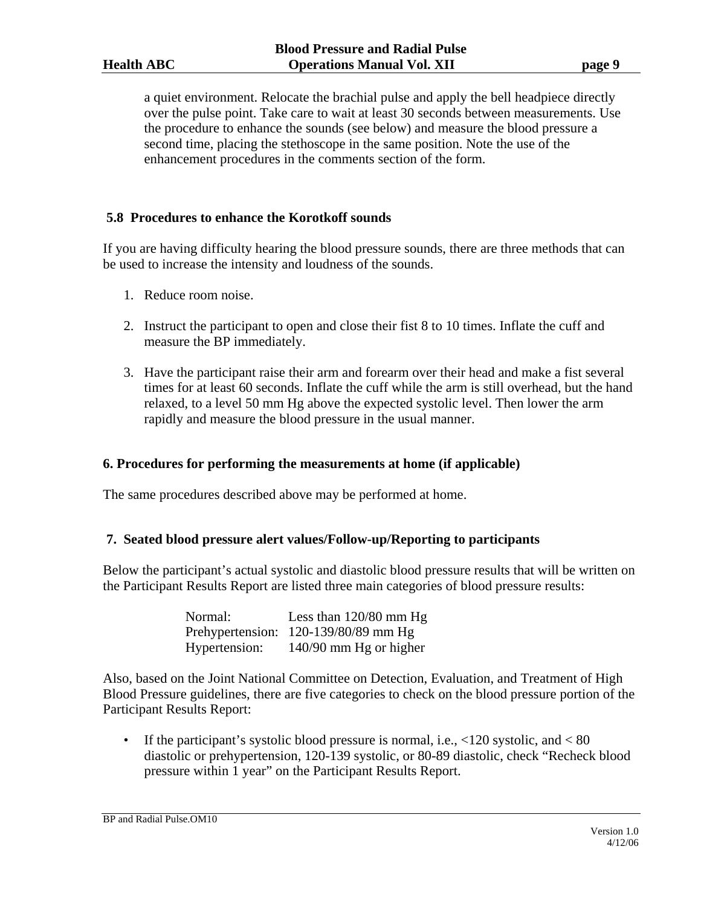a quiet environment. Relocate the brachial pulse and apply the bell headpiece directly over the pulse point. Take care to wait at least 30 seconds between measurements. Use the procedure to enhance the sounds (see below) and measure the blood pressure a second time, placing the stethoscope in the same position. Note the use of the enhancement procedures in the comments section of the form.

#### **5.8 Procedures to enhance the Korotkoff sounds**

If you are having difficulty hearing the blood pressure sounds, there are three methods that can be used to increase the intensity and loudness of the sounds.

- 1. Reduce room noise.
- 2. Instruct the participant to open and close their fist 8 to 10 times. Inflate the cuff and measure the BP immediately.
- 3. Have the participant raise their arm and forearm over their head and make a fist several times for at least 60 seconds. Inflate the cuff while the arm is still overhead, but the hand relaxed, to a level 50 mm Hg above the expected systolic level. Then lower the arm rapidly and measure the blood pressure in the usual manner.

#### **6. Procedures for performing the measurements at home (if applicable)**

The same procedures described above may be performed at home.

#### **7. Seated blood pressure alert values/Follow-up/Reporting to participants**

Below the participant's actual systolic and diastolic blood pressure results that will be written on the Participant Results Report are listed three main categories of blood pressure results:

| Normal:       | Less than $120/80$ mm Hg             |
|---------------|--------------------------------------|
|               | Prehypertension: 120-139/80/89 mm Hg |
| Hypertension: | 140/90 mm Hg or higher               |

Also, based on the Joint National Committee on Detection, Evaluation, and Treatment of High Blood Pressure guidelines, there are five categories to check on the blood pressure portion of the Participant Results Report:

• If the participant's systolic blood pressure is normal, i.e.,  $\langle 120 \text{ systolic}, \text{and} \langle 80 \rangle$ diastolic or prehypertension, 120-139 systolic, or 80-89 diastolic, check "Recheck blood pressure within 1 year" on the Participant Results Report.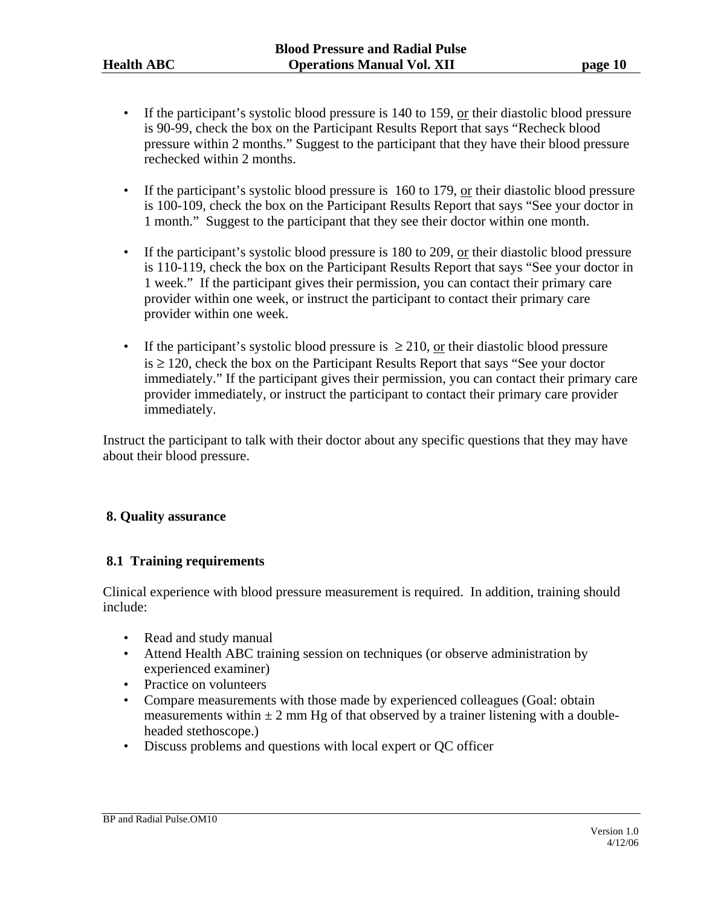- If the participant's systolic blood pressure is  $140$  to  $159$ , or their diastolic blood pressure is 90-99, check the box on the Participant Results Report that says "Recheck blood pressure within 2 months." Suggest to the participant that they have their blood pressure rechecked within 2 months.
- If the participant's systolic blood pressure is 160 to 179, or their diastolic blood pressure is 100-109, check the box on the Participant Results Report that says "See your doctor in 1 month." Suggest to the participant that they see their doctor within one month.
- If the participant's systolic blood pressure is 180 to 209, or their diastolic blood pressure is 110-119, check the box on the Participant Results Report that says "See your doctor in 1 week." If the participant gives their permission, you can contact their primary care provider within one week, or instruct the participant to contact their primary care provider within one week.
- If the participant's systolic blood pressure is  $\geq 210$ , or their diastolic blood pressure  $is \geq 120$ , check the box on the Participant Results Report that says "See your doctor immediately." If the participant gives their permission, you can contact their primary care provider immediately, or instruct the participant to contact their primary care provider immediately.

Instruct the participant to talk with their doctor about any specific questions that they may have about their blood pressure.

# **8. Quality assurance**

# **8.1 Training requirements**

Clinical experience with blood pressure measurement is required. In addition, training should include:

- Read and study manual
- Attend Health ABC training session on techniques (or observe administration by experienced examiner)
- Practice on volunteers
- Compare measurements with those made by experienced colleagues (Goal: obtain measurements within  $\pm 2$  mm Hg of that observed by a trainer listening with a doubleheaded stethoscope.)
- Discuss problems and questions with local expert or QC officer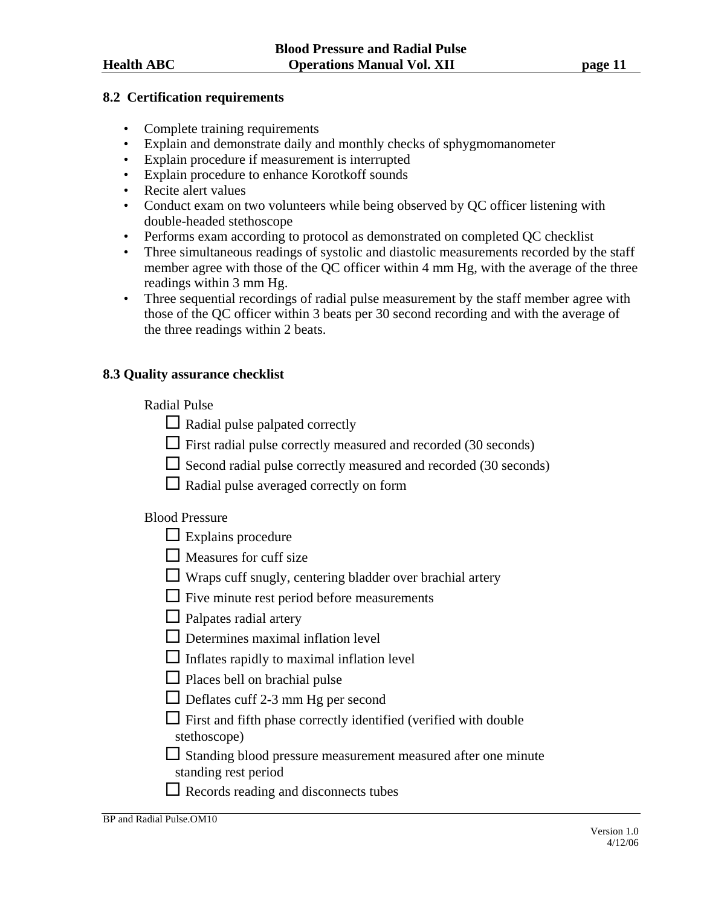#### **8.2 Certification requirements**

- Complete training requirements
- Explain and demonstrate daily and monthly checks of sphygmomanometer
- Explain procedure if measurement is interrupted
- Explain procedure to enhance Korotkoff sounds
- Recite alert values
- Conduct exam on two volunteers while being observed by QC officer listening with double-headed stethoscope
- Performs exam according to protocol as demonstrated on completed QC checklist
- Three simultaneous readings of systolic and diastolic measurements recorded by the staff member agree with those of the QC officer within 4 mm Hg, with the average of the three readings within 3 mm Hg.
- Three sequential recordings of radial pulse measurement by the staff member agree with those of the QC officer within 3 beats per 30 second recording and with the average of the three readings within 2 beats.

#### **8.3 Quality assurance checklist**

#### Radial Pulse

- $\Box$  Radial pulse palpated correctly
- $\Box$  First radial pulse correctly measured and recorded (30 seconds)
- $\Box$  Second radial pulse correctly measured and recorded (30 seconds)
- $\Box$  Radial pulse averaged correctly on form

# Blood Pressure

- $\Box$  Explains procedure
- $\Box$  Measures for cuff size
- $\Box$  Wraps cuff snugly, centering bladder over brachial artery
- $\Box$  Five minute rest period before measurements
- $\Box$  Palpates radial artery
- $\Box$  Determines maximal inflation level
- $\Box$  Inflates rapidly to maximal inflation level
- $\Box$  Places bell on brachial pulse
- $\Box$  Deflates cuff 2-3 mm Hg per second
- $\Box$  First and fifth phase correctly identified (verified with double stethoscope)

 $\Box$  Standing blood pressure measurement measured after one minute standing rest period

Records reading and disconnects tubes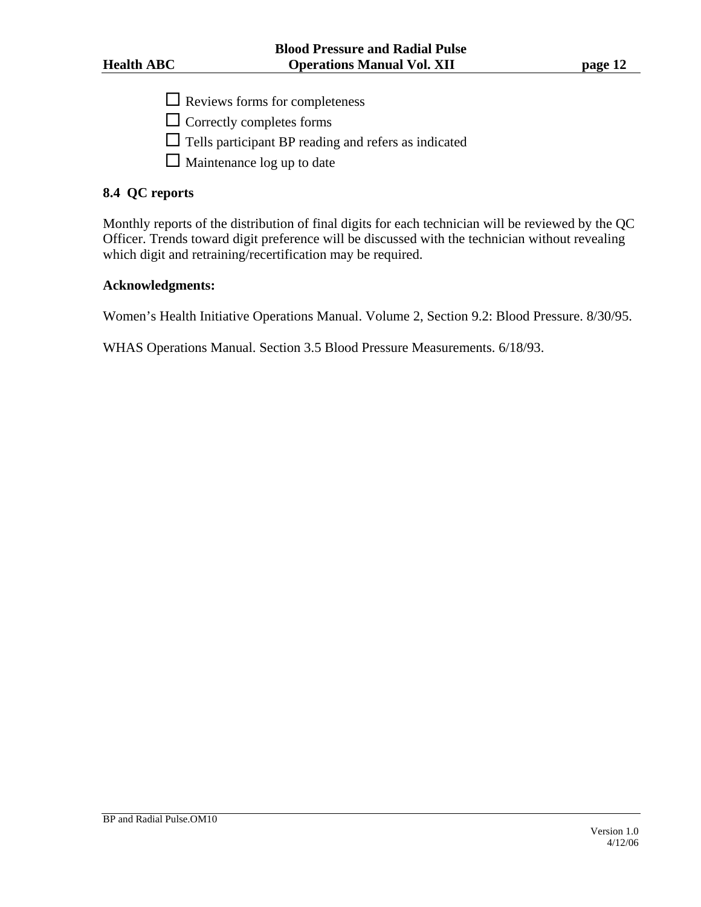- $\Box$  Reviews forms for completeness
- $\Box$  Correctly completes forms
- $\Box$  Tells participant BP reading and refers as indicated
- $\Box$  Maintenance log up to date

#### **8.4 QC reports**

Monthly reports of the distribution of final digits for each technician will be reviewed by the QC Officer. Trends toward digit preference will be discussed with the technician without revealing which digit and retraining/recertification may be required.

#### **Acknowledgments:**

Women's Health Initiative Operations Manual. Volume 2, Section 9.2: Blood Pressure. 8/30/95.

WHAS Operations Manual. Section 3.5 Blood Pressure Measurements. 6/18/93.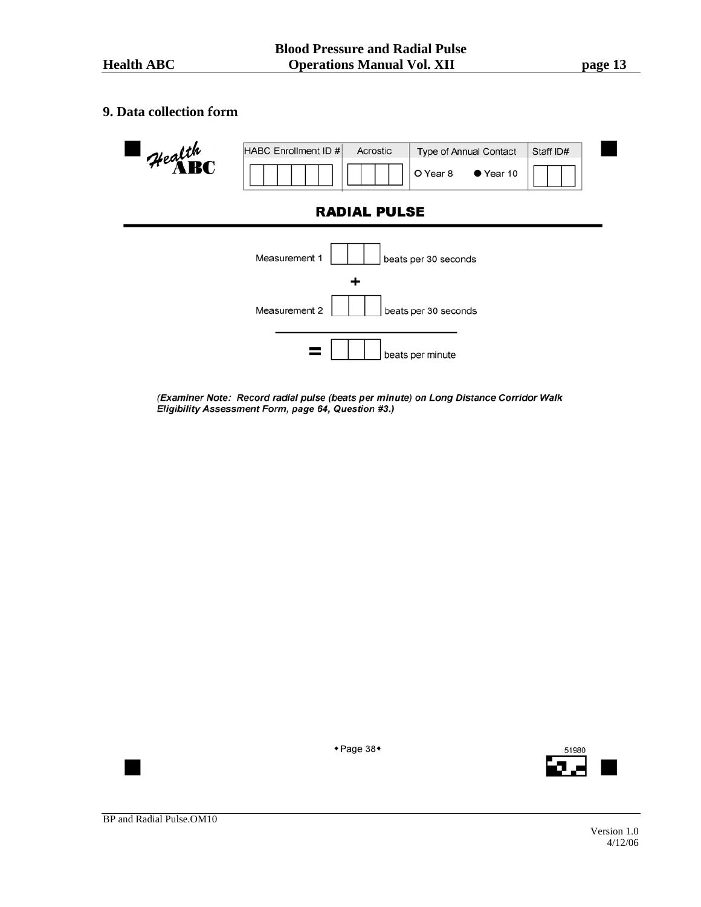## **9. Data collection form**



(Examiner Note: Record radial pulse (beats per minute) on Long Distance Corridor Walk Eligibility Assessment Form, page 64, Question #3.)